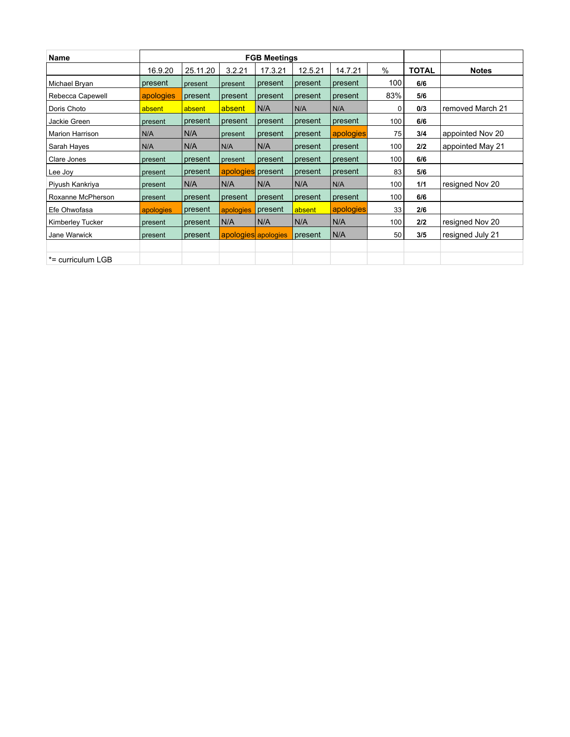| <b>Name</b>       | <b>FGB Meetings</b> |          |                     |         |         |           |      |              |                  |  |
|-------------------|---------------------|----------|---------------------|---------|---------|-----------|------|--------------|------------------|--|
|                   | 16.9.20             | 25.11.20 | 3.2.21              | 17.3.21 | 12.5.21 | 14.7.21   | $\%$ | <b>TOTAL</b> | <b>Notes</b>     |  |
| Michael Bryan     | present             | present  | present             | present | present | present   | 100  | 6/6          |                  |  |
| Rebecca Capewell  | apologies           | present  | present             | present | present | present   | 83%  | 5/6          |                  |  |
| Doris Choto       | absent              | absent   | absent              | N/A     | N/A     | N/A       | 0    | 0/3          | removed March 21 |  |
| Jackie Green      | present             | present  | present             | present | present | present   | 100  | 6/6          |                  |  |
| Marion Harrison   | N/A                 | N/A      | present             | present | present | apologies | 75   | 3/4          | appointed Nov 20 |  |
| Sarah Hayes       | N/A                 | N/A      | N/A                 | N/A     | present | present   | 100  | 2/2          | appointed May 21 |  |
| Clare Jones       | present             | present  | present             | present | present | present   | 100  | 6/6          |                  |  |
| Lee Joy           | present             | present  | apologies present   |         | present | present   | 83   | 5/6          |                  |  |
| Piyush Kankriya   | present             | N/A      | N/A                 | N/A     | N/A     | N/A       | 100  | 1/1          | resigned Nov 20  |  |
| Roxanne McPherson | present             | present  | present             | present | present | present   | 100  | 6/6          |                  |  |
| Efe Ohwofasa      | apologies           | present  | apologies           | present | absent  | apologies | 33   | 2/6          |                  |  |
| Kimberley Tucker  | present             | present  | N/A                 | N/A     | N/A     | N/A       | 100  | 2/2          | resigned Nov 20  |  |
| Jane Warwick      | present             | present  | apologies apologies |         | present | N/A       | 50   | 3/5          | resigned July 21 |  |
|                   |                     |          |                     |         |         |           |      |              |                  |  |
| *= curriculum LGB |                     |          |                     |         |         |           |      |              |                  |  |